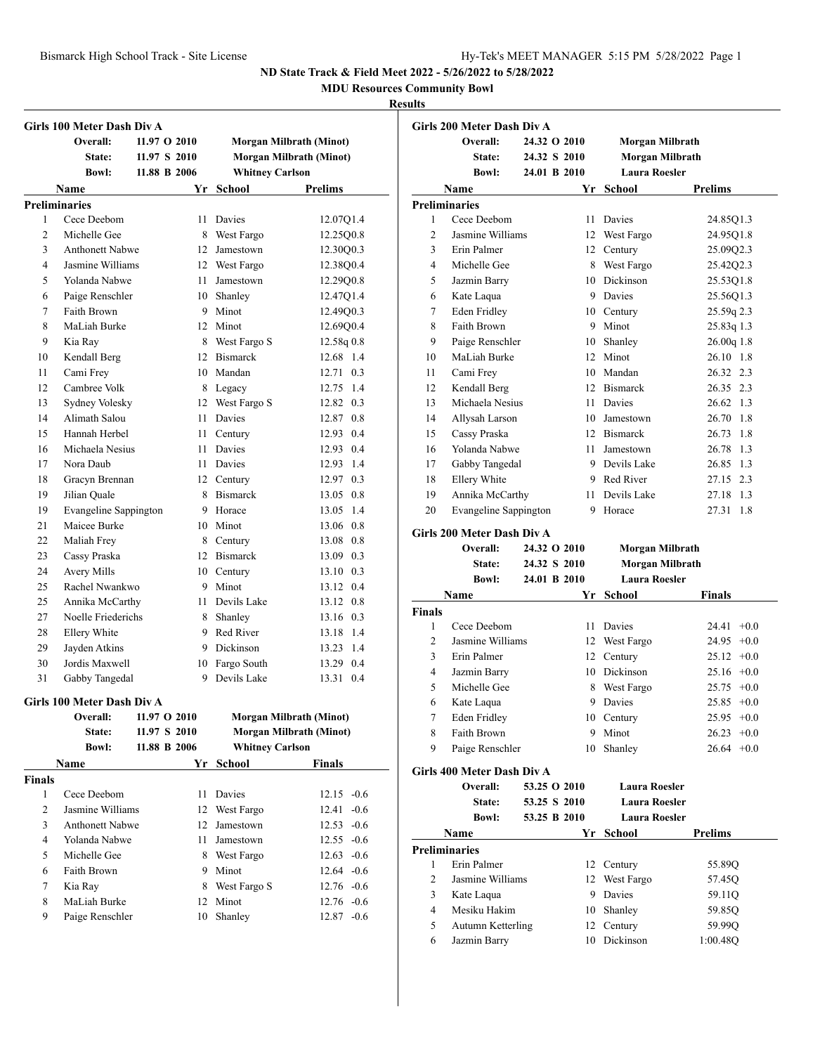**MDU Resources Community Bowl**

|                | Girls 100 Meter Dash Div A |              |    |                        |                                |
|----------------|----------------------------|--------------|----|------------------------|--------------------------------|
|                | Overall:                   | 11.97 O 2010 |    |                        | Morgan Milbrath (Minot)        |
|                | State:                     | 11.97 S 2010 |    |                        | <b>Morgan Milbrath (Minot)</b> |
|                | <b>Bowl:</b>               | 11.88 B 2006 |    | <b>Whitney Carlson</b> |                                |
|                | Name                       |              |    | Yr School              | <b>Prelims</b>                 |
|                | <b>Preliminaries</b>       |              |    |                        |                                |
| 1              | Cece Deebom                |              | 11 | Davies                 | 12.07Q1.4                      |
| $\overline{c}$ | Michelle Gee               |              |    | 8 West Fargo           | 12.25Q0.8                      |
| 3              | <b>Anthonett Nabwe</b>     |              | 12 | Jamestown              | 12.30Q0.3                      |
| $\overline{4}$ | Jasmine Williams           |              |    | 12 West Fargo          | 12.3800.4                      |
| 5              | Yolanda Nabwe              |              | 11 | Jamestown              | 12.29Q0.8                      |
| 6              | Paige Renschler            |              |    | 10 Shanley             | 12.47Q1.4                      |
| 7              | Faith Brown                |              |    | 9 Minot                | 12.49Q0.3                      |
| 8              | MaLiah Burke               |              |    | 12 Minot               | 12.69Q0.4                      |
| 9              | Kia Ray                    |              | 8  | West Fargo S           | 12.58q 0.8                     |
| 10             | Kendall Berg               |              |    | 12 Bismarck            | 12.68 1.4                      |
| 11             | Cami Frey                  |              |    | 10 Mandan              | 12.71 0.3                      |
| 12             | Cambree Volk               |              |    | 8 Legacy               | 12.75 1.4                      |
| 13             | Sydney Volesky             |              | 12 | West Fargo S           | 12.82 0.3                      |
| 14             | Alimath Salou              |              | 11 | <b>Davies</b>          | 12.87 0.8                      |
| 15             | Hannah Herbel              |              |    | 11 Century             | 12.93 0.4                      |
| 16             | Michaela Nesius            |              |    | 11 Davies              | 12.93 0.4                      |
| 17             | Nora Daub                  |              |    | 11 Davies              | 12.93 1.4                      |
| 18             | Gracyn Brennan             |              |    | 12 Century             | 12.97 0.3                      |
| 19             | Jilian Quale               |              |    | 8 Bismarck             | 13.05 0.8                      |
| 19             | Evangeline Sappington      |              |    | 9 Horace               | 13.05 1.4                      |
| 21             | Maicee Burke               |              |    | 10 Minot               | 13.06 0.8                      |
| 22             | Maliah Frey                |              |    | 8 Century              | 13.08 0.8                      |
| 23             | Cassy Praska               |              | 12 | <b>Bismarck</b>        | 13.09 0.3                      |
| 24             | Avery Mills                |              |    | 10 Century             | 13.10 0.3                      |
| 25             | Rachel Nwankwo             |              |    | 9 Minot                | 13.12 0.4                      |
| 25             | Annika McCarthy            |              | 11 | Devils Lake            | 13.12 0.8                      |
| 27             | Noelle Friederichs         |              | 8  | Shanley                | 13.16 0.3                      |
| 28             | Ellery White               |              |    | 9 Red River            | 13.18 1.4                      |
| 29             | Jayden Atkins              |              |    | 9 Dickinson            | 13.23 1.4                      |
| 30             | Jordis Maxwell             |              |    | 10 Fargo South         | 13.29 0.4                      |
| 31             | Gabby Tangedal             |              |    | 9 Devils Lake          | 13.31 0.4                      |
|                | Girls 100 Meter Dash Div A |              |    |                        |                                |
|                | Overall:                   | 11.97 O 2010 |    |                        | Morgan Milbrath (Minot)        |
|                | State:                     | 11.97 S 2010 |    |                        | Morgan Milbrath (Minot)        |
|                | <b>Bowl:</b>               | 11.88 B 2006 |    | <b>Whitney Carlson</b> |                                |
|                | Name                       |              | Yr | <b>School</b>          | <b>Finals</b>                  |
| <b>Finals</b>  |                            |              |    |                        |                                |
| 1              | Cece Deebom                |              | 11 | Davies                 | $12.15 -0.6$                   |
| 2              | Jasmine Williams           |              | 12 | West Fargo             | $-0.6$<br>12.41                |
| 3              | Anthonett Nabwe            |              | 12 | Jamestown              | $12.53 - 0.6$                  |
| $\overline{4}$ | Yolanda Nabwe              |              | 11 | Jamestown              | 12.55 -0.6                     |
| 5              | Michelle Gee               |              | 8  | West Fargo             | $12.63 - 0.6$                  |
| 6              | Faith Brown                |              | 9  | Minot                  | $12.64 - 0.6$                  |
| 7              | Kia Ray                    |              | 8  | West Fargo S           | 12.76 -0.6                     |
| 8              | MaLiah Burke               |              | 12 | Minot                  | 12.76 -0.6                     |
| 9              | Paige Renschler            |              |    | 10 Shanley             | $12.87 - 0.6$                  |

|                | Girls 200 Meter Dash Div A             |              |          |                      |                    |
|----------------|----------------------------------------|--------------|----------|----------------------|--------------------|
|                | Overall:                               | 24.32 O 2010 |          | Morgan Milbrath      |                    |
|                | State:                                 | 24.32 S 2010 |          | Morgan Milbrath      |                    |
|                | <b>Bowl:</b>                           | 24.01 B 2010 |          | <b>Laura Roesler</b> |                    |
|                | <b>Name</b>                            |              |          | Yr School            | <b>Prelims</b>     |
|                | <b>Preliminaries</b>                   |              |          |                      |                    |
| 1              | Cece Deebom                            |              | 11       | Davies               | 24.85Q1.3          |
| 2              | Jasmine Williams                       |              |          | 12 West Fargo        | 24.95Q1.8          |
| 3              | Erin Palmer                            |              |          | 12 Century           | 25.09Q2.3          |
| 4              | Michelle Gee                           |              |          | 8 West Fargo         | 25.42Q2.3          |
| 5              | Jazmin Barry                           |              |          | 10 Dickinson         | 25.53Q1.8          |
| 6              | Kate Laqua                             |              |          | 9 Davies             | 25.56Q1.3          |
| 7              | Eden Fridley                           |              |          | 10 Century           | 25.59q 2.3         |
| 8              | Faith Brown                            |              |          | 9 Minot              | 25.83q 1.3         |
| 9              | Paige Renschler                        |              |          | 10 Shanley           | 26.00q 1.8         |
| 10             | MaLiah Burke                           |              |          | 12 Minot             | 26.10 1.8          |
|                |                                        |              |          |                      | 26.32 2.3          |
| 11             | Cami Frev                              |              |          | 10 Mandan            |                    |
| 12             | Kendall Berg                           |              |          | 12 Bismarck          | 26.35 2.3          |
| 13             | Michaela Nesius                        |              |          | 11 Davies            | 26.62 1.3          |
| 14             | Allysah Larson                         |              |          | 10 Jamestown         | 26.70 1.8          |
| 15             | Cassy Praska                           |              |          | 12 Bismarck          | 26.73<br>1.8       |
| 16             | Yolanda Nabwe                          |              |          | 11 Jamestown         | 26.78<br>1.3       |
| 17             | Gabby Tangedal                         |              |          | 9 Devils Lake        | 26.85<br>1.3       |
| 18             | Ellery White                           |              |          | 9 Red River          | 27.15 2.3          |
| 19             | Annika McCarthy                        |              |          | 11 Devils Lake       | 1.3<br>27.18       |
| 20             | <b>Evangeline Sappington</b>           |              | 9        | Horace               | 1.8<br>27.31       |
|                | Girls 200 Meter Dash Div A             |              |          |                      |                    |
|                |                                        |              |          |                      |                    |
|                | Overall:                               | 24.32 O 2010 |          | Morgan Milbrath      |                    |
|                | State:                                 | 24.32 S 2010 |          | Morgan Milbrath      |                    |
|                | <b>Bowl:</b>                           | 24.01 B 2010 |          | <b>Laura Roesler</b> |                    |
|                | Name                                   |              | Yr       | School               | Finals             |
| <b>Finals</b>  |                                        |              |          |                      |                    |
| 1              | Cece Deebom                            |              |          | 11 Davies            | $+0.0$<br>24.41    |
| $\overline{c}$ | Jasmine Williams                       |              |          | 12 West Fargo        | $+0.0$<br>24.95    |
| 3              | Erin Palmer                            |              |          | 12 Century           | 25.12<br>$+0.0$    |
| 4              | Jazmin Barry                           |              |          | 10 Dickinson         | 25.16<br>$+0.0$    |
| 5              | Michelle Gee                           |              | 8        | West Fargo           | 25.75<br>$+0.0$    |
| 6              | Kate Laqua                             |              | 9        | Davies               | 25.85<br>$+0.0$    |
| 7              | <b>Eden Fridley</b>                    |              |          | 10 Century           | $25.95 +0.0$       |
| 8              | Faith Brown                            |              | 9        |                      | 26.23<br>$+0.0$    |
| 9              | Paige Renschler                        |              | 10       | Minot<br>Shanley     | $26.64 + 0.0$      |
|                |                                        |              |          |                      |                    |
|                | Girls 400 Meter Dash Div A<br>Overall: | 53.25 O 2010 |          | <b>Laura Roesler</b> |                    |
|                |                                        |              |          |                      |                    |
|                | State:                                 | 53.25 S 2010 |          | <b>Laura Roesler</b> |                    |
|                | <b>Bowl:</b>                           | 53.25 B 2010 |          | Laura Roesler        |                    |
|                | Name                                   |              |          | Yr School            | <b>Prelims</b>     |
|                | <b>Preliminaries</b>                   |              |          |                      |                    |
| 1              | Erin Palmer                            |              | 12       | Century              | 55.89Q             |
| 2              | Jasmine Williams                       |              | 12       | West Fargo           | 57.45Q             |
| 3              | Kate Laqua                             |              |          | 9 Davies             | 59.11Q             |
| 4              | Mesiku Hakim                           |              | 10       | Shanley              | 59.85Q             |
| 5<br>6         | Autumn Ketterling<br>Jazmin Barry      |              | 12<br>10 | Century<br>Dickinson | 59.99Q<br>1:00.48Q |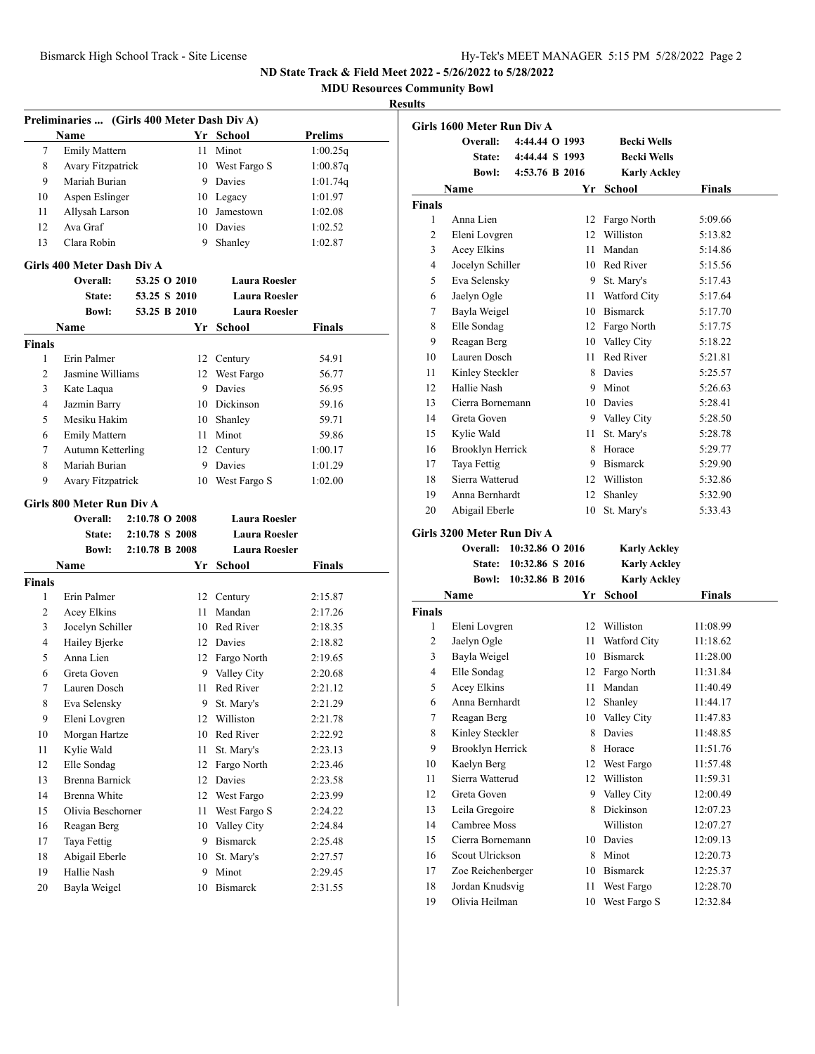**MDU Resources Community Bowl**

|                    | Preliminaries  (Girls 400 Meter Dash Div A) |                |    |                                 |                |
|--------------------|---------------------------------------------|----------------|----|---------------------------------|----------------|
|                    | Name                                        |                |    | Yr School                       | <b>Prelims</b> |
| 7                  | <b>Emily Mattern</b>                        |                | 11 | Minot                           | 1:00.25q       |
| 8                  | Avary Fitzpatrick                           |                |    | 10 West Fargo S                 | 1:00.87q       |
| 9                  | Mariah Burian                               |                |    | 9 Davies                        | 1:01.74q       |
| 10                 | Aspen Eslinger                              |                |    | 10 Legacy                       | 1:01.97        |
| 11                 | Allysah Larson                              |                |    | 10 Jamestown                    | 1:02.08        |
| 12                 | Ava Graf                                    |                |    | 10 Davies                       | 1:02.52        |
| 13                 | Clara Robin                                 |                | 9  | Shanley                         | 1:02.87        |
|                    | Girls 400 Meter Dash Div A                  |                |    |                                 |                |
|                    | Overall:                                    | 53.25 O 2010   |    | <b>Laura Roesler</b>            |                |
|                    | <b>State:</b>                               | 53.25 S 2010   |    | <b>Laura Roesler</b>            |                |
|                    | <b>Bowl:</b>                                | 53.25 B 2010   |    | <b>Laura Roesler</b>            |                |
|                    | <b>Name</b>                                 |                | Yr | School                          | Finals         |
| <b>Finals</b>      |                                             |                |    |                                 |                |
| 1                  | Erin Palmer                                 |                | 12 | Century                         | 54.91          |
| 2                  | Jasmine Williams                            |                |    | 12 West Fargo                   | 56.77          |
| 3                  | Kate Laqua                                  |                |    | 9 Davies                        | 56.95          |
| 4                  | Jazmin Barry                                |                |    | 10 Dickinson                    | 59.16          |
| 5                  | Mesiku Hakim                                |                | 10 | Shanley                         | 59.71          |
| 6                  | <b>Emily Mattern</b>                        |                |    | 11 Minot                        | 59.86          |
| 7                  | <b>Autumn Ketterling</b>                    |                |    | 12 Century                      | 1:00.17        |
| 8                  | Mariah Burian                               |                |    | 9 Davies                        | 1:01.29        |
| 9                  | Avary Fitzpatrick                           |                | 10 | West Fargo S                    | 1:02.00        |
|                    |                                             |                |    |                                 |                |
|                    | Girls 800 Meter Run Div A<br>Overall:       | 2:10.78 O 2008 |    | <b>Laura Roesler</b>            |                |
|                    | State:                                      | 2:10.78 S 2008 |    | <b>Laura Roesler</b>            |                |
|                    | <b>Bowl:</b>                                | 2:10.78 B 2008 |    | <b>Laura Roesler</b>            |                |
|                    | <b>Name</b>                                 |                |    |                                 |                |
|                    |                                             |                |    | Yr School                       | Finals         |
| <b>Finals</b><br>1 | Erin Palmer                                 |                |    |                                 | 2:15.87        |
| 2                  | Acey Elkins                                 |                |    | 12 Century<br>11 Mandan         | 2:17.26        |
| 3                  |                                             |                |    | 10 Red River                    |                |
| 4                  | Jocelyn Schiller                            |                |    | 12 Davies                       | 2:18.35        |
| 5                  | Hailey Bjerke<br>Anna Lien                  |                |    |                                 | 2:18.82        |
| 6                  | Greta Goven                                 |                |    | 12 Fargo North<br>9 Valley City | 2:19.65        |
| 7                  | Lauren Dosch                                |                |    | 11 Red River                    | 2:20.68        |
| 8                  |                                             |                |    |                                 | 2:21.12        |
|                    | Eva Selensky                                |                | 9  | St. Mary's                      | 2:21.29        |
| 9                  | Eleni Lovgren                               |                | 12 | Williston                       | 2:21.78        |
| 10                 | Morgan Hartze                               |                | 10 | Red River                       | 2:22.92        |
| 11                 | Kylie Wald                                  |                | 11 | St. Mary's                      | 2:23.13        |
| 12                 | Elle Sondag                                 |                | 12 | Fargo North                     | 2:23.46        |
| 13                 | <b>Brenna Barnick</b>                       |                | 12 | Davies                          | 2:23.58        |
| 14                 | Brenna White                                |                | 12 | West Fargo                      | 2:23.99        |
| 15                 | Olivia Beschorner                           |                | 11 | West Fargo S                    | 2:24.22        |
| 16                 | Reagan Berg                                 |                | 10 | Valley City                     | 2:24.84        |
| 17                 | Taya Fettig                                 |                | 9  | <b>Bismarck</b>                 | 2:25.48        |
| 18                 | Abigail Eberle                              |                | 10 | St. Mary's                      | 2:27.57        |
| 19                 | Hallie Nash                                 |                | 9  | Minot                           | 2:29.45        |
| 20                 | Bayla Weigel                                |                | 10 | Bismarck                        | 2:31.55        |
|                    |                                             |                |    |                                 |                |

|                  | Girls 1600 Meter Run Div A        |                 |          |                            |                      |
|------------------|-----------------------------------|-----------------|----------|----------------------------|----------------------|
|                  | Overall:                          | 4:44.44 O 1993  |          | <b>Becki Wells</b>         |                      |
|                  | <b>State:</b>                     | 4:44.44 S 1993  |          | <b>Becki Wells</b>         |                      |
|                  | <b>Bowl:</b>                      | 4:53.76 B 2016  |          | <b>Karly Ackley</b>        |                      |
|                  | Name                              |                 | Yr       | <b>School</b>              | Finals               |
| <b>Finals</b>    |                                   |                 |          |                            |                      |
| 1                | Anna Lien                         |                 | 12       | Fargo North                | 5:09.66              |
| 2                | Eleni Lovgren                     |                 |          | 12 Williston               | 5:13.82              |
| 3                | Acey Elkins                       |                 | 11       | Mandan                     | 5:14.86              |
| 4                | Jocelyn Schiller                  |                 |          | 10 Red River               | 5:15.56              |
| 5                | Eva Selensky                      |                 | 9.       | St. Mary's                 | 5:17.43              |
| 6                | Jaelyn Ogle                       |                 | 11       | Watford City               | 5:17.64              |
| 7                | Bayla Weigel                      |                 |          | 10 Bismarck                | 5:17.70              |
| 8                | Elle Sondag                       |                 |          | 12 Fargo North             | 5:17.75              |
| 9                | Reagan Berg                       |                 |          | 10 Valley City             | 5:18.22              |
| 10               | Lauren Dosch                      |                 | 11       | Red River                  | 5:21.81              |
| 11               | Kinley Steckler                   |                 |          | 8 Davies                   | 5:25.57              |
| 12               | Hallie Nash                       |                 |          | 9 Minot                    | 5:26.63              |
| 13               | Cierra Bornemann                  |                 |          | 10 Davies                  | 5:28.41              |
| 14               | Greta Goven                       |                 |          | 9 Valley City              | 5:28.50              |
| 15               | Kylie Wald                        |                 | 11 -     | St. Mary's                 | 5:28.78              |
| 16               | Brooklyn Herrick                  |                 | 8        | Horace                     | 5:29.77              |
| 17               | Taya Fettig                       |                 |          | 9 Bismarck                 | 5:29.90              |
| 18               | Sierra Watterud                   |                 |          | 12 Williston               | 5:32.86              |
| 19               | Anna Bernhardt                    |                 | 12       | Shanley                    | 5:32.90              |
| $20\,$           | Abigail Eberle                    |                 | 10       | St. Mary's                 | 5:33.43              |
|                  | Girls 3200 Meter Run Div A        |                 |          |                            |                      |
|                  | Overall:                          | 10:32.86 O 2016 |          | <b>Karly Ackley</b>        |                      |
|                  | <b>State:</b>                     | 10:32.86 S 2016 |          | <b>Karly Ackley</b>        |                      |
|                  | <b>Bowl:</b>                      | 10:32.86 B 2016 |          | <b>Karly Ackley</b>        |                      |
|                  | Name                              |                 | Yr       | <b>School</b>              | <b>Finals</b>        |
| <b>Finals</b>    |                                   |                 |          |                            |                      |
| $\mathbf{1}$     | Eleni Lovgren                     |                 | 12       | Williston                  | 11:08.99             |
| 2                | Jaelyn Ogle                       |                 | 11       | Watford City               | 11:18.62             |
| 3                | Bayla Weigel                      |                 |          | 10 Bismarck                | 11:28.00             |
| 4                | Elle Sondag                       |                 | 12       | Fargo North                | 11:31.84             |
| 5                | Acey Elkins                       |                 | 11       | Mandan                     | 11:40.49             |
| 6                | Anna Bernhardt                    |                 | 12       | Shanley                    | 11:44.17             |
| $\boldsymbol{7}$ | Reagan Berg                       |                 |          | 10 Valley City             | 11:47.83             |
| 8                | Kinley Steckler                   |                 |          | 8 Davies                   | 11:48.85             |
| 9                | <b>Brooklyn Herrick</b>           |                 | 8        | Horace                     | 11:51.76             |
| 10               | Kaelyn Berg                       |                 | 12       | West Fargo                 | 11:57.48             |
| 11               | Sierra Watterud                   |                 | 12       | Williston                  | 11:59.31             |
| 12               | Greta Goven                       |                 | 9.       | Valley City                | 12:00.49             |
| 13               | Leila Gregoire                    |                 | 8.       | Dickinson                  | 12:07.23             |
| 14               | Cambree Moss                      |                 |          | Williston                  | 12:07.27             |
| 15               | Cierra Bornemann                  |                 |          | 10 Davies                  | 12:09.13             |
| 16               | Scout Ulrickson                   |                 |          | Minot                      |                      |
| 17               | Zoe Reichenberger                 |                 | 8<br>10  | <b>Bismarck</b>            | 12:20.73<br>12:25.37 |
| 18               |                                   |                 |          |                            |                      |
|                  |                                   |                 |          |                            |                      |
| 19               | Jordan Knudsvig<br>Olivia Heilman |                 | 11<br>10 | West Fargo<br>West Fargo S | 12:28.70<br>12:32.84 |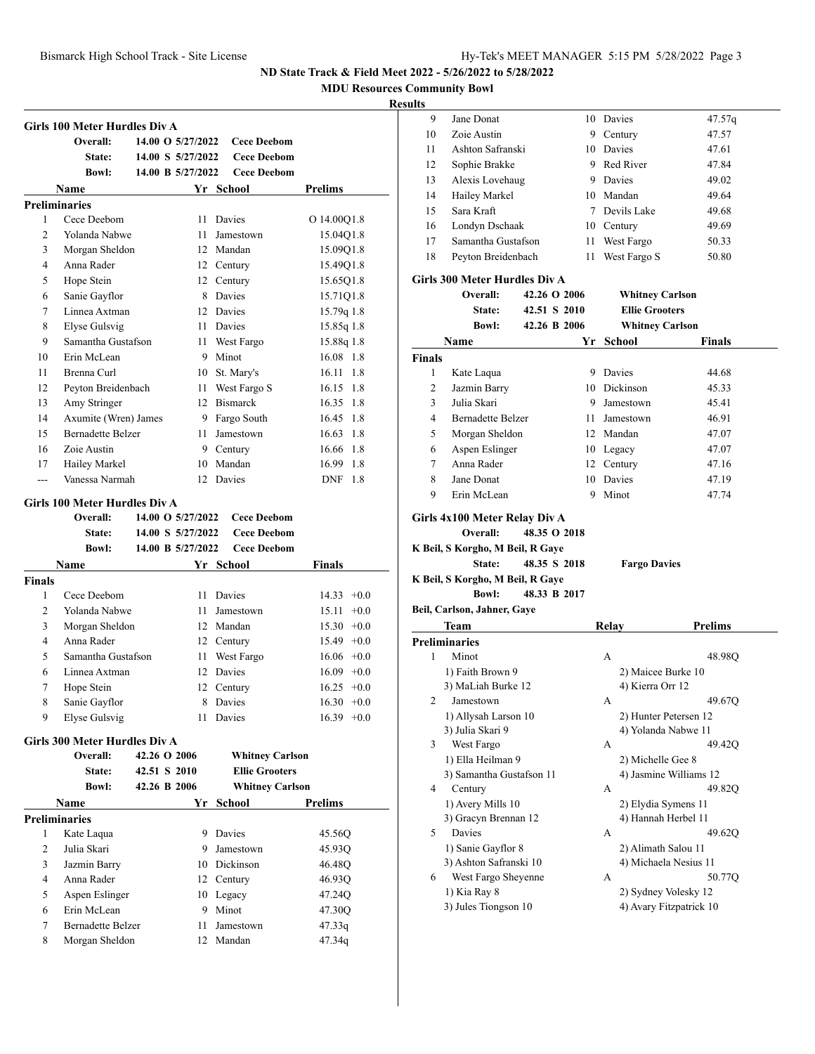**MDU Resources Community Bowl**

|                | Girls 100 Meter Hurdles Div A       |                   |                                          |                        |
|----------------|-------------------------------------|-------------------|------------------------------------------|------------------------|
|                | Overall:                            | 14.00 O 5/27/2022 | <b>Cece Deebom</b>                       |                        |
|                | State:                              | 14.00 S 5/27/2022 | <b>Cece Deebom</b>                       |                        |
|                | <b>Bowl:</b>                        | 14.00 B 5/27/2022 | <b>Cece Deebom</b>                       |                        |
|                | Name                                |                   | Yr School                                | <b>Prelims</b>         |
| 1              | <b>Preliminaries</b><br>Cece Deebom | 11                | Davies                                   |                        |
|                | Yolanda Nabwe                       | 11                |                                          | O 14.00Q1.8            |
| 2<br>3         |                                     | 12                | Jamestown<br>Mandan                      | 15.04Q1.8<br>15.09Q1.8 |
| 4              | Morgan Sheldon<br>Anna Rader        |                   |                                          |                        |
|                |                                     |                   | 12 Century                               | 15.49Q1.8              |
| 5              | Hope Stein                          | 12                | Century                                  | 15.65Q1.8              |
| 6              | Sanie Gayflor                       | 8                 | Davies                                   | 15.71Q1.8              |
| 7              | Linnea Axtman                       | 12                | Davies                                   | 15.79q 1.8             |
| 8              | Elyse Gulsvig                       | 11                | Davies                                   | 15.85q 1.8             |
| 9              | Samantha Gustafson                  | 11                | West Fargo                               | 15.88q 1.8             |
| 10             | Erin McLean                         | 9                 | Minot                                    | 16.08 1.8              |
| 11             | Brenna Curl                         | 10                | St. Mary's                               | 16.11<br>1.8           |
| 12             | Peyton Breidenbach                  | 11                | West Fargo S                             | 16.15<br>1.8           |
| 13             | Amy Stringer                        | 12                | <b>Bismarck</b>                          | 16.35<br>1.8           |
| 14             | Axumite (Wren) James                |                   | 9 Fargo South                            | 16.45<br>1.8           |
| 15             | <b>Bernadette Belzer</b>            | 11                | Jamestown                                | 16.63<br>1.8           |
| 16             | Zoie Austin                         |                   | 9 Century                                | 16.66 1.8              |
| 17             | Hailey Markel                       | 10                | Mandan                                   | 16.99 1.8              |
| ---            | Vanessa Narmah                      | 12                | Davies                                   | <b>DNF</b><br>1.8      |
|                | Girls 100 Meter Hurdles Div A       |                   |                                          |                        |
|                | Overall:                            |                   |                                          |                        |
|                |                                     |                   |                                          |                        |
|                |                                     | 14.00 O 5/27/2022 | <b>Cece Deebom</b>                       |                        |
|                | State:<br><b>Bowl:</b>              | 14.00 S 5/27/2022 | <b>Cece Deebom</b><br><b>Cece Deebom</b> |                        |
|                |                                     | 14.00 B 5/27/2022 |                                          |                        |
|                | Name                                |                   | Yr School                                | <b>Finals</b>          |
| 1              | Cece Deebom                         | 11                | Davies                                   | $14.33 + 0.0$          |
| 2              | Yolanda Nabwe                       | 11                | Jamestown                                | 15.11<br>$+0.0$        |
| 3              |                                     | 12                | Mandan                                   | $15.30 +0.0$           |
| 4              | Morgan Sheldon<br>Anna Rader        | 12                |                                          |                        |
|                | Samantha Gustafson                  |                   | Century                                  | $15.49 +0.0$           |
| Finals<br>5    |                                     | 11                | West Fargo                               | $16.06 + 0.0$          |
| 6              | Linnea Axtman                       | 12                | Davies                                   | $16.09 + 0.0$          |
| 7              | Hope Stein                          |                   | 12 Century                               | $16.25 +0.0$           |
| 8              | Sanie Gayflor                       |                   | 8 Davies                                 | $16.30 + 0.0$          |
| 9              | Elyse Gulsvig                       | 11.               | Davies                                   | $16.39 + 0.0$          |
|                | Girls 300 Meter Hurdles Div A       |                   |                                          |                        |
|                | Overall:                            | 42.26 O 2006      | <b>Whitney Carlson</b>                   |                        |
|                | State:                              | 42.51 S 2010      | <b>Ellie Grooters</b>                    |                        |
|                | <b>Bowl:</b>                        | 42.26 B 2006      | <b>Whitney Carlson</b>                   |                        |
|                | Name                                |                   | Yr School                                | Prelims                |
|                | <b>Preliminaries</b>                |                   |                                          |                        |
| 1              | Kate Laqua                          | 9                 | Davies                                   | 45.56Q                 |
| $\overline{c}$ | Julia Skari                         | 9.                | Jamestown                                | 45.93Q                 |
| 3              | Jazmin Barry                        |                   | 10 Dickinson                             | 46.48Q                 |
| 4              | Anna Rader                          |                   | 12 Century                               | 46.93Q                 |
| 5              | Aspen Eslinger                      |                   | 10 Legacy                                | 47.24Q                 |
| 6              | Erin McLean                         |                   | 9 Minot                                  | 47.30Q                 |
| 7              | <b>Bernadette Belzer</b>            | 11                | Jamestown                                | 47.33q                 |

| 9             | Jane Donat                           |              | 10 Davies                                       | 47.57q         |
|---------------|--------------------------------------|--------------|-------------------------------------------------|----------------|
| 10            | Zoie Austin                          |              | 9 Century                                       | 47.57          |
| 11            | Ashton Safranski                     |              | 10 Davies                                       | 47.61          |
| 12            | Sophie Brakke                        |              | 9 Red River                                     | 47.84          |
| 13            | Alexis Lovehaug                      |              | 9 Davies                                        | 49.02          |
| 14            | Hailey Markel                        |              | 10 Mandan                                       | 49.64          |
| 15            | Sara Kraft                           |              | 7 Devils Lake                                   | 49.68          |
| 16            | Londyn Dschaak                       |              | 10 Century                                      | 49.69          |
| 17            | Samantha Gustafson                   |              | 11 West Fargo                                   | 50.33          |
| 18            | Peyton Breidenbach                   | 11           | West Fargo S                                    | 50.80          |
|               | Girls 300 Meter Hurdles Div A        |              |                                                 |                |
|               | Overall:                             | 42.26 O 2006 | <b>Whitney Carlson</b>                          |                |
|               | State:                               | 42.51 S 2010 | <b>Ellie Grooters</b>                           |                |
|               | <b>Bowl:</b>                         | 42.26 B 2006 | <b>Whitney Carlson</b>                          |                |
|               | Name                                 | Yr           | School                                          | Finals         |
| <b>Finals</b> |                                      |              |                                                 |                |
| 1             | Kate Laqua                           |              | 9 Davies                                        | 44.68          |
| 2             | Jazmin Barry                         |              | 10 Dickinson                                    | 45.33          |
| 3             | Julia Skari                          |              | 9 Jamestown                                     | 45.41          |
| 4             | <b>Bernadette Belzer</b>             |              | 11 Jamestown                                    | 46.91          |
| 5             | Morgan Sheldon                       |              | 12 Mandan                                       | 47.07          |
| 6             | Aspen Eslinger                       |              | 10 Legacy                                       | 47.07          |
| 7             | Anna Rader                           |              | 12 Century                                      | 47.16          |
| 8             | Jane Donat                           |              | 10 Davies                                       | 47.19          |
|               |                                      | 9            | Minot                                           | 47.74          |
| 9             | Erin McLean                          |              |                                                 |                |
|               |                                      |              |                                                 |                |
|               | Girls 4x100 Meter Relay Div A        |              |                                                 |                |
|               | Overall:                             | 48.35 O 2018 |                                                 |                |
|               | K Beil, S Korgho, M Beil, R Gaye     |              |                                                 |                |
|               | State:                               | 48.35 S 2018 | <b>Fargo Davies</b>                             |                |
|               | K Beil, S Korgho, M Beil, R Gaye     |              |                                                 |                |
|               | <b>Bowl:</b>                         | 48.33 B 2017 |                                                 |                |
|               | Beil, Carlson, Jahner, Gaye          |              |                                                 |                |
|               | Team                                 |              | Relay                                           | <b>Prelims</b> |
|               | <b>Preliminaries</b>                 |              |                                                 |                |
| 1             | Minot                                |              | A                                               | 48.98Q         |
|               | 1) Faith Brown 9                     |              | 2) Maicee Burke 10                              |                |
|               | 3) MaLiah Burke 12                   |              | 4) Kierra Orr 12                                |                |
| 2             | Jamestown                            |              | A                                               | 49.67Q         |
|               | 1) Allysah Larson 10                 |              | 2) Hunter Petersen 12                           |                |
|               | 3) Julia Skari 9                     |              | 4) Yolanda Nabwe 11                             |                |
| 3             | West Fargo                           |              | А                                               | 49.42Q         |
|               | 1) Ella Heilman 9                    |              | 2) Michelle Gee 8                               |                |
|               | 3) Samantha Gustafson 11             |              | 4) Jasmine Williams 12                          |                |
| 4             | Century                              |              | А                                               | 49.82Q         |
|               | 1) Avery Mills 10                    |              | 2) Elydia Symens 11                             |                |
|               | 3) Gracyn Brennan 12                 |              | 4) Hannah Herbel 11                             |                |
| 5             | Davies                               |              | А                                               | 49.62Q         |
|               | 1) Sanie Gayflor 8                   |              | 2) Alimath Salou 11                             |                |
|               | 3) Ashton Safranski 10               |              | 4) Michaela Nesius 11                           |                |
| 6             | West Fargo Sheyenne                  |              | А                                               | 50.77Q         |
|               | 1) Kia Ray 8<br>3) Jules Tiongson 10 |              | 2) Sydney Volesky 12<br>4) Avary Fitzpatrick 10 |                |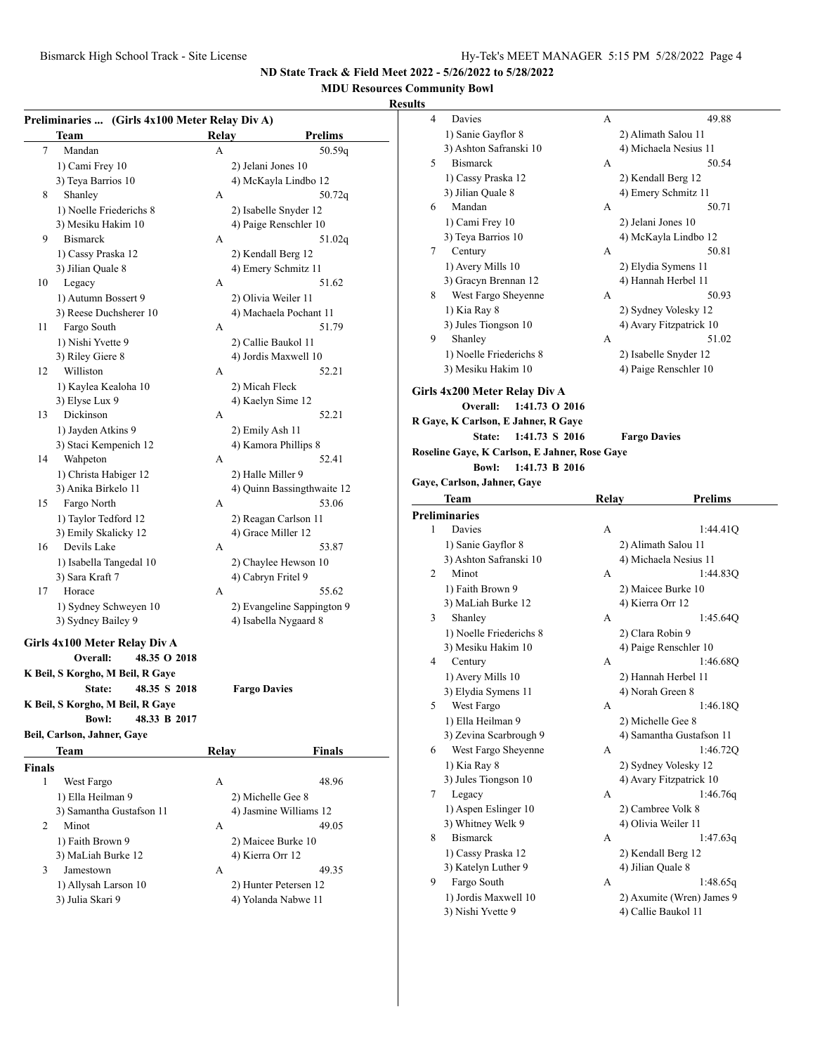# **MDU Resources Community Bowl**

|               | Preliminaries  (Girls 4x100 Meter Relay Div A) |              |                                            |
|---------------|------------------------------------------------|--------------|--------------------------------------------|
|               | Team                                           | Relay        | <b>Prelims</b>                             |
| 7             | Mandan                                         | А            | 50.59q                                     |
|               | 1) Cami Frey 10                                |              | 2) Jelani Jones 10                         |
|               | 3) Teya Barrios 10                             |              | 4) McKayla Lindbo 12                       |
| 8             | Shanley                                        | А            | 50.72q                                     |
|               | 1) Noelle Friederichs 8                        |              | 2) Isabelle Snyder 12                      |
|               | 3) Mesiku Hakim 10                             |              | 4) Paige Renschler 10                      |
| 9             | <b>Bismarck</b>                                | А            | 51.02q                                     |
|               | 1) Cassy Praska 12                             |              | 2) Kendall Berg 12                         |
|               | 3) Jilian Quale 8                              |              | 4) Emery Schmitz 11                        |
| 10            | Legacy                                         | А            | 51.62                                      |
|               | 1) Autumn Bossert 9                            |              | 2) Olivia Weiler 11                        |
|               | 3) Reese Duchsherer 10                         |              | 4) Machaela Pochant 11                     |
| 11            | Fargo South                                    | А            | 51.79                                      |
|               | 1) Nishi Yvette 9                              |              | 2) Callie Baukol 11                        |
|               | 3) Riley Giere 8                               |              | 4) Jordis Maxwell 10                       |
| 12            | Williston                                      | А            | 52.21                                      |
|               | 1) Kaylea Kealoha 10                           |              | 2) Micah Fleck                             |
|               | 3) Elyse Lux 9                                 |              | 4) Kaelyn Sime 12                          |
| 13            | Dickinson                                      | А            | 52.21                                      |
|               | 1) Jayden Atkins 9                             |              | 2) Emily Ash 11                            |
|               | 3) Staci Kempenich 12                          |              | 4) Kamora Phillips 8                       |
| 14            | Wahpeton                                       | А            | 52.41                                      |
|               | 1) Christa Habiger 12                          |              | 2) Halle Miller 9                          |
|               | 3) Anika Birkelo 11                            |              | 4) Quinn Bassingthwaite 12                 |
| 15            | Fargo North                                    | А            | 53.06                                      |
|               | 1) Taylor Tedford 12                           |              | 2) Reagan Carlson 11                       |
|               | 3) Emily Skalicky 12                           |              | 4) Grace Miller 12                         |
| 16            | Devils Lake                                    | A            | 53.87                                      |
|               |                                                |              |                                            |
|               | 1) Isabella Tangedal 10<br>3) Sara Kraft 7     |              | 2) Chaylee Hewson 10<br>4) Cabryn Fritel 9 |
| 17            | Horace                                         | А            | 55.62                                      |
|               |                                                |              |                                            |
|               | 1) Sydney Schweyen 10                          |              | 2) Evangeline Sappington 9                 |
|               | 3) Sydney Bailey 9                             |              | 4) Isabella Nygaard 8                      |
|               | Girls 4x100 Meter Relay Div A                  |              |                                            |
|               | 48.35 O 2018<br>Overall:                       |              |                                            |
|               | K Beil, S Korgho, M Beil, R Gaye               |              |                                            |
|               | 48.35 S 2018<br><b>State:</b>                  |              | <b>Fargo Davies</b>                        |
|               | K Beil, S Korgho, M Beil, R Gaye               |              |                                            |
|               | <b>Bowl:</b><br>48.33 B 2017                   |              |                                            |
|               | Beil, Carlson, Jahner, Gaye                    |              |                                            |
|               | Team                                           | <b>Relay</b> | <b>Finals</b>                              |
| <b>Finals</b> |                                                |              |                                            |
| 1             | West Fargo                                     | А            | 48.96                                      |
|               | 1) Ella Heilman 9                              |              | 2) Michelle Gee 8                          |
|               | 3) Samantha Gustafson 11                       |              | 4) Jasmine Williams 12                     |
| 2             | Minot                                          | А            | 49.05                                      |
|               |                                                |              |                                            |
|               | 1) Faith Brown 9<br>3) MaLiah Burke 12         |              | 2) Maicee Burke 10                         |
| 3             | Jamestown                                      |              | 4) Kierra Orr 12                           |
|               |                                                | А            | 49.35                                      |
|               | 1) Allysah Larson 10                           |              | 2) Hunter Petersen 12                      |
|               | 3) Julia Skari 9                               |              | 4) Yolanda Nabwe 11                        |

| ults |                                               |              |                                   |
|------|-----------------------------------------------|--------------|-----------------------------------|
| 4    | Davies                                        | А            | 49.88                             |
|      | 1) Sanie Gayflor 8                            |              | 2) Alimath Salou 11               |
|      | 3) Ashton Safranski 10                        |              | 4) Michaela Nesius 11             |
| 5    | <b>Bismarck</b>                               | А            | 50.54                             |
|      | 1) Cassy Praska 12                            |              | 2) Kendall Berg 12                |
|      | 3) Jilian Quale 8                             |              | 4) Emery Schmitz 11               |
| 6    | Mandan                                        | А            | 50.71                             |
|      | 1) Cami Frey 10                               |              | 2) Jelani Jones 10                |
|      | 3) Teya Barrios 10                            |              | 4) McKayla Lindbo 12              |
| 7    | Century                                       | А            | 50.81                             |
|      | 1) Avery Mills 10                             |              |                                   |
|      | 3) Gracyn Brennan 12                          |              | 2) Elydia Symens 11               |
|      |                                               |              | 4) Hannah Herbel 11<br>50.93      |
| 8    | West Fargo Sheyenne                           | А            |                                   |
|      | 1) Kia Ray 8                                  |              | 2) Sydney Volesky 12              |
|      | 3) Jules Tiongson 10                          |              | 4) Avary Fitzpatrick 10           |
| 9    | Shanley                                       | А            | 51.02                             |
|      | 1) Noelle Friederichs 8                       |              | 2) Isabelle Snyder 12             |
|      | 3) Mesiku Hakim 10                            |              | 4) Paige Renschler 10             |
|      | Girls 4x200 Meter Relay Div A                 |              |                                   |
|      | <b>Overall:</b><br>1:41.73 O 2016             |              |                                   |
|      | R Gaye, K Carlson, E Jahner, R Gaye           |              |                                   |
|      | State:<br>1:41.73 S 2016                      |              | <b>Fargo Davies</b>               |
|      |                                               |              |                                   |
|      | Roseline Gaye, K Carlson, E Jahner, Rose Gaye |              |                                   |
|      | <b>Bowl:</b><br>1:41.73 B 2016                |              |                                   |
|      | Gaye, Carlson, Jahner, Gaye                   |              |                                   |
|      | Team                                          | <b>Relay</b> | <b>Prelims</b>                    |
|      |                                               |              |                                   |
|      | <b>Preliminaries</b>                          |              |                                   |
| 1    | Davies                                        | А            | 1:44.41Q                          |
|      | 1) Sanie Gayflor 8                            |              | 2) Alimath Salou 11               |
|      | 3) Ashton Safranski 10                        |              | 4) Michaela Nesius 11             |
| 2    | Minot                                         | А            | 1:44.83Q                          |
|      | 1) Faith Brown 9                              |              | 2) Maicee Burke 10                |
|      | 3) MaLiah Burke 12                            |              | 4) Kierra Orr 12                  |
| 3    | Shanley                                       | А            | 1:45.64Q                          |
|      |                                               |              | 2) Clara Robin 9                  |
|      | 1) Noelle Friederichs 8<br>3) Mesiku Hakim 10 |              |                                   |
| 4    |                                               | А            | 4) Paige Renschler 10<br>1:46.68Q |
|      | Century                                       |              |                                   |
|      | 1) Avery Mills 10                             |              | 2) Hannah Herbel 11               |
|      | 3) Elydia Symens 11                           |              | 4) Norah Green 8                  |
| 5    | West Fargo                                    | А            | 1:46.18Q                          |
|      | 1) Ella Heilman 9                             |              | 2) Michelle Gee 8                 |
|      | 3) Zevina Scarbrough 9                        |              | 4) Samantha Gustafson 11          |
| 6    | West Fargo Sheyenne                           | А            | 1:46.72Q                          |
|      | 1) Kia Ray 8                                  |              | 2) Sydney Volesky 12              |
|      | 3) Jules Tiongson 10                          |              | 4) Avary Fitzpatrick 10           |
| 7    | Legacy                                        | А            | 1:46.76q                          |
|      | 1) Aspen Eslinger 10                          |              | 2) Cambree Volk 8                 |
|      | 3) Whitney Welk 9                             |              | 4) Olivia Weiler 11               |
| 8    | <b>Bismarck</b>                               | А            | 1:47.63q                          |
|      | 1) Cassy Praska 12                            |              | 2) Kendall Berg 12                |
|      | 3) Katelyn Luther 9                           |              | 4) Jilian Quale 8                 |
| 9    | Fargo South                                   | А            | 1:48.65q                          |
|      | 1) Jordis Maxwell 10                          |              | 2) Axumite (Wren) James 9         |
|      | 3) Nishi Yvette 9                             |              | 4) Callie Baukol 11               |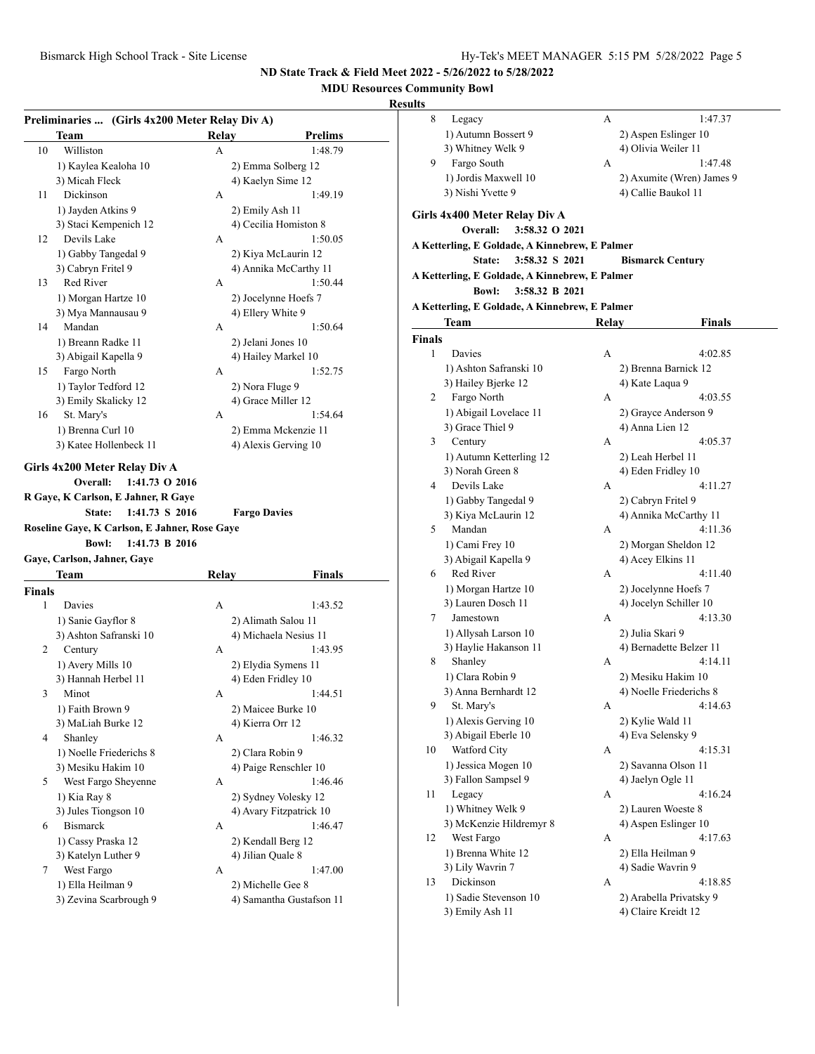## **MDU Resources Community Bowl**

|        | Team                                                                                                                                                                             | Relay        |                                  |
|--------|----------------------------------------------------------------------------------------------------------------------------------------------------------------------------------|--------------|----------------------------------|
| 10     | Williston                                                                                                                                                                        | A            | <b>Prelims</b><br>1:48.79        |
|        |                                                                                                                                                                                  |              |                                  |
|        | 1) Kaylea Kealoha 10                                                                                                                                                             |              | 2) Emma Solberg 12               |
|        | 3) Micah Fleck<br>Dickinson                                                                                                                                                      |              | 4) Kaelyn Sime 12                |
| 11     |                                                                                                                                                                                  | А            | 1:49.19                          |
|        | 1) Jayden Atkins 9                                                                                                                                                               |              | 2) Emily Ash 11                  |
| 12     | 3) Staci Kempenich 12<br>Devils Lake                                                                                                                                             |              | 4) Cecilia Homiston 8            |
|        |                                                                                                                                                                                  | А            | 1:50.05                          |
|        | 1) Gabby Tangedal 9                                                                                                                                                              |              | 2) Kiya McLaurin 12              |
| 13     | 3) Cabryn Fritel 9<br>Red River                                                                                                                                                  | А            | 4) Annika McCarthy 11<br>1:50.44 |
|        |                                                                                                                                                                                  |              |                                  |
|        | 1) Morgan Hartze 10                                                                                                                                                              |              | 2) Jocelynne Hoefs 7             |
|        | 3) Mya Mannausau 9<br>Mandan                                                                                                                                                     |              | 4) Ellery White 9                |
| 14     |                                                                                                                                                                                  | А            | 1:50.64                          |
|        | 1) Breann Radke 11                                                                                                                                                               |              | 2) Jelani Jones 10               |
|        | 3) Abigail Kapella 9                                                                                                                                                             |              | 4) Hailey Markel 10              |
| 15     | Fargo North                                                                                                                                                                      | A            | 1:52.75                          |
|        | 1) Taylor Tedford 12                                                                                                                                                             |              | 2) Nora Fluge 9                  |
|        | 3) Emily Skalicky 12                                                                                                                                                             |              | 4) Grace Miller 12               |
| 16     | St. Mary's                                                                                                                                                                       | А            | 1:54.64                          |
|        | 1) Brenna Curl 10                                                                                                                                                                |              | 2) Emma Mckenzie 11              |
|        | 3) Katee Hollenbeck 11                                                                                                                                                           |              | 4) Alexis Gerving 10             |
|        | 1:41.73 O 2016<br>Overall:<br>R Gaye, K Carlson, E Jahner, R Gaye<br>State:<br>1:41.73 S 2016<br>Roseline Gaye, K Carlson, E Jahner, Rose Gaye<br>1:41.73 B 2016<br><b>Bowl:</b> |              | <b>Fargo Davies</b>              |
|        | Gaye, Carlson, Jahner, Gaye                                                                                                                                                      |              |                                  |
|        | Team                                                                                                                                                                             | <b>Relay</b> | <b>Finals</b>                    |
| Finals |                                                                                                                                                                                  |              |                                  |
| 1      | Davies                                                                                                                                                                           | А            | 1:43.52                          |
|        | 1) Sanie Gayflor 8                                                                                                                                                               |              | 2) Alimath Salou 11              |
|        | 3) Ashton Safranski 10                                                                                                                                                           |              | 4) Michaela Nesius 11            |
| 2      | Century                                                                                                                                                                          | А            | 1:43.95                          |
|        | 1) Avery Mills 10                                                                                                                                                                |              | 2) Elydia Symens 11              |
|        | 3) Hannah Herbel 11                                                                                                                                                              |              | 4) Eden Fridley 10               |
| 3      | Minot                                                                                                                                                                            | А            | 1:44.51                          |
|        | 1) Faith Brown 9                                                                                                                                                                 |              | 2) Maicee Burke 10               |
|        | 3) MaLiah Burke 12                                                                                                                                                               |              | 4) Kierra Orr 12                 |
| 4      | Shanley                                                                                                                                                                          | А            | 1:46.32                          |
|        | 1) Noelle Friederichs 8                                                                                                                                                          |              | 2) Clara Robin 9                 |
|        | 3) Mesiku Hakim 10                                                                                                                                                               |              | 4) Paige Renschler 10            |
| 5      | West Fargo Sheyenne                                                                                                                                                              | А            |                                  |
|        | 1) Kia Ray 8                                                                                                                                                                     |              | 1:46.46<br>2) Sydney Volesky 12  |
|        | 3) Jules Tiongson 10                                                                                                                                                             |              | 4) Avary Fitzpatrick 10          |
| 6      | <b>Bismarck</b>                                                                                                                                                                  | А            | 1:46.47                          |
|        | 1) Cassy Praska 12                                                                                                                                                               |              | 2) Kendall Berg 12               |
|        | 3) Katelyn Luther 9                                                                                                                                                              |              | 4) Jilian Quale 8                |
| 7      | West Fargo                                                                                                                                                                       | А            | 1:47.00                          |
|        | 1) Ella Heilman 9                                                                                                                                                                |              | 2) Michelle Gee 8                |

| ults        |                                                |       |                           |
|-------------|------------------------------------------------|-------|---------------------------|
| 8           | Legacy                                         | А     | 1:47.37                   |
|             | 1) Autumn Bossert 9                            |       | 2) Aspen Eslinger 10      |
|             | 3) Whitney Welk 9                              |       | 4) Olivia Weiler 11       |
| 9           | Fargo South                                    | А     | 1:47.48                   |
|             | 1) Jordis Maxwell 10                           |       | 2) Axumite (Wren) James 9 |
|             | 3) Nishi Yvette 9                              |       | 4) Callie Baukol 11       |
|             |                                                |       |                           |
|             | Girls 4x400 Meter Relay Div A                  |       |                           |
|             | 3:58.32 O 2021<br>Overall:                     |       |                           |
|             | A Ketterling, E Goldade, A Kinnebrew, E Palmer |       |                           |
|             | 3:58.32 S 2021<br>State:                       |       | <b>Bismarck Century</b>   |
|             | A Ketterling, E Goldade, A Kinnebrew, E Palmer |       |                           |
|             | <b>Bowl:</b><br>3:58.32 B 2021                 |       |                           |
|             | A Ketterling, E Goldade, A Kinnebrew, E Palmer |       |                           |
|             | Team                                           | Relay | <b>Finals</b>             |
|             |                                                |       |                           |
| Finals<br>1 | Davies                                         | А     | 4:02.85                   |
|             |                                                |       |                           |
|             | 1) Ashton Safranski 10                         |       | 2) Brenna Barnick 12      |
|             | 3) Hailey Bjerke 12                            |       | 4) Kate Laqua 9           |
| 2           | Fargo North                                    | А     | 4:03.55                   |
|             | 1) Abigail Lovelace 11                         |       | 2) Grayce Anderson 9      |
|             | 3) Grace Thiel 9                               |       | 4) Anna Lien 12           |
| 3           | Century                                        | А     | 4:05.37                   |
|             | 1) Autumn Ketterling 12                        |       | 2) Leah Herbel 11         |
|             | 3) Norah Green 8                               |       | 4) Eden Fridley 10        |
| 4           | Devils Lake                                    | А     | 4:11.27                   |
|             | 1) Gabby Tangedal 9                            |       | 2) Cabryn Fritel 9        |
|             | 3) Kiya McLaurin 12                            |       | 4) Annika McCarthy 11     |
| 5           | Mandan                                         | А     | 4:11.36                   |
|             | 1) Cami Frey 10                                |       | 2) Morgan Sheldon 12      |
|             | 3) Abigail Kapella 9                           |       | 4) Acey Elkins 11         |
| 6           | Red River                                      | А     | 4:11.40                   |
|             | 1) Morgan Hartze 10                            |       | 2) Jocelynne Hoefs 7      |
|             | 3) Lauren Dosch 11                             |       | 4) Jocelyn Schiller 10    |
| 7           | Jamestown                                      | А     | 4:13.30                   |
|             | 1) Allysah Larson 10                           |       | 2) Julia Skari 9          |
|             | 3) Haylie Hakanson 11                          |       | 4) Bernadette Belzer 11   |
| 8           | Shanley                                        | А     | 4:14.11                   |
|             | 1) Clara Robin 9                               |       | 2) Mesiku Hakim 10        |
|             | 3) Anna Bernhardt 12                           |       | 4) Noelle Friederichs 8   |
| 9           | St. Mary's                                     | А     | 4:14.63                   |
|             | 1) Alexis Gerving 10                           |       | 2) Kylie Wald 11          |
|             | 3) Abigail Eberle 10                           |       | 4) Eva Selensky 9         |
| 10          | Watford City                                   | А     | 4:15.31                   |
|             | 1) Jessica Mogen 10                            |       | 2) Savanna Olson 11       |
|             | 3) Fallon Sampsel 9                            |       | 4) Jaelyn Ogle 11         |
| 11          | Legacy                                         | А     | 4:16.24                   |
|             | 1) Whitney Welk 9                              |       | 2) Lauren Woeste 8        |
|             | 3) McKenzie Hildremyr 8                        |       | 4) Aspen Eslinger 10      |
| 12          | West Fargo                                     | А     | 4:17.63                   |
|             | 1) Brenna White 12                             |       | 2) Ella Heilman 9         |
|             | 3) Lily Wavrin 7                               |       | 4) Sadie Wavrin 9         |
| 13          | Dickinson                                      | А     | 4:18.85                   |
|             | 1) Sadie Stevenson 10                          |       | 2) Arabella Privatsky 9   |
|             | 3) Emily Ash 11                                |       | 4) Claire Kreidt 12       |
|             |                                                |       |                           |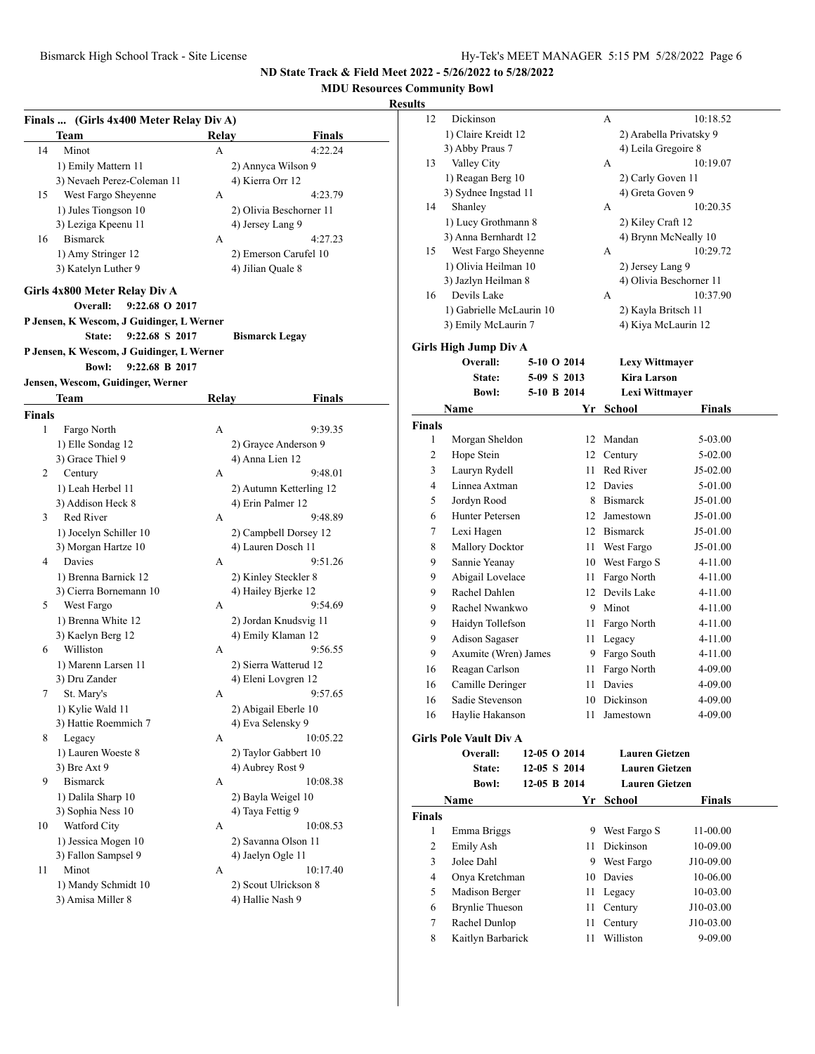## **MDU Resources Community Bowl**

|               | Team                                      | Relay | Finals                  |
|---------------|-------------------------------------------|-------|-------------------------|
| 14            | Minot                                     | A     | 4:22.24                 |
|               | 1) Emily Mattern 11                       |       | 2) Annyca Wilson 9      |
|               | 3) Nevaeh Perez-Coleman 11                |       | 4) Kierra Orr 12        |
| 15            | West Fargo Sheyenne                       | А     | 4:23.79                 |
|               | 1) Jules Tiongson 10                      |       | 2) Olivia Beschorner 11 |
|               | 3) Leziga Kpeenu 11                       |       | 4) Jersey Lang 9        |
| 16            | <b>Bismarck</b>                           | А     | 4:27.23                 |
|               | 1) Amy Stringer 12                        |       | 2) Emerson Carufel 10   |
|               | 3) Katelyn Luther 9                       |       | 4) Jilian Quale 8       |
|               |                                           |       |                         |
|               | Girls 4x800 Meter Relay Div A             |       |                         |
|               | Overall:<br>9:22.68 O 2017                |       |                         |
|               | P Jensen, K Wescom, J Guidinger, L Werner |       |                         |
|               | State:<br>9:22.68 S 2017                  |       | <b>Bismarck Legay</b>   |
|               | P Jensen, K Wescom, J Guidinger, L Werner |       |                         |
|               | <b>Bowl:</b><br>9:22.68 B 2017            |       |                         |
|               | Jensen, Wescom, Guidinger, Werner         |       |                         |
|               | Team                                      | Relay | Finals                  |
| <b>Finals</b> |                                           |       |                         |
| 1             | Fargo North                               | А     | 9:39.35                 |
|               | 1) Elle Sondag 12                         |       | 2) Grayce Anderson 9    |
|               | 3) Grace Thiel 9                          |       | 4) Anna Lien 12         |
| 2             | Century                                   | А     | 9:48.01                 |
|               | 1) Leah Herbel 11                         |       | 2) Autumn Ketterling 12 |
|               | 3) Addison Heck 8                         |       | 4) Erin Palmer 12       |
| 3             | Red River                                 | А     | 9:48.89                 |
|               | 1) Jocelyn Schiller 10                    |       | 2) Campbell Dorsey 12   |
|               | 3) Morgan Hartze 10                       |       | 4) Lauren Dosch 11      |
| 4             | Davies                                    | А     | 9:51.26                 |
|               | 1) Brenna Barnick 12                      |       | 2) Kinley Steckler 8    |
|               | 3) Cierra Bornemann 10                    |       | 4) Hailey Bjerke 12     |
| 5             | West Fargo                                | А     | 9:54.69                 |
|               | 1) Brenna White 12                        |       | 2) Jordan Knudsvig 11   |
|               | 3) Kaelyn Berg 12                         |       | 4) Emily Klaman 12      |
| 6             | Williston                                 | А     | 9:56.55                 |
|               | 1) Marenn Larsen 11                       |       | 2) Sierra Watterud 12   |
|               | 3) Dru Zander                             |       | 4) Eleni Lovgren 12     |
| 7             | St. Mary's                                | А     | 9:57.65                 |
|               | 1) Kylie Wald 11                          |       | 2) Abigail Eberle 10    |
|               | 3) Hattie Roemmich 7                      |       | 4) Eva Selensky 9       |
| 8             | Legacy                                    | А     | 10:05.22                |
|               | 1) Lauren Woeste 8                        |       | 2) Taylor Gabbert 10    |
|               | 3) Bre Axt 9                              |       | 4) Aubrey Rost 9        |
| 9             | <b>Bismarck</b>                           | А     | 10:08.38                |
|               | 1) Dalila Sharp 10                        |       | 2) Bayla Weigel 10      |
|               | 3) Sophia Ness 10                         |       | 4) Taya Fettig 9        |
| 10            | Watford City                              | А     | 10:08.53                |
|               | 1) Jessica Mogen 10                       |       | 2) Savanna Olson 11     |
|               | 3) Fallon Sampsel 9                       |       | 4) Jaelyn Ogle 11       |
|               | Minot                                     | А     | 10:17.40                |
| 11            |                                           |       |                         |
|               | 1) Mandy Schmidt 10                       |       | 2) Scout Ulrickson 8    |

| 12            |                                           |              |                              |                         |  |
|---------------|-------------------------------------------|--------------|------------------------------|-------------------------|--|
|               | Dickinson                                 |              | А                            | 10:18.52                |  |
|               | 1) Claire Kreidt 12                       |              |                              | 2) Arabella Privatsky 9 |  |
|               | 3) Abby Praus 7                           |              | 4) Leila Gregoire 8          |                         |  |
| 13            | Valley City                               |              | А                            | 10:19.07                |  |
|               | 1) Reagan Berg 10                         |              | 2) Carly Goven 11            |                         |  |
|               | 3) Sydnee Ingstad 11                      |              | 4) Greta Goven 9             |                         |  |
| 14            | Shanley                                   |              | А                            | 10:20.35                |  |
|               |                                           |              |                              |                         |  |
|               | 1) Lucy Grothmann 8                       |              | 2) Kiley Craft 12            |                         |  |
|               | 3) Anna Bernhardt 12                      |              | 4) Brynn McNeally 10         |                         |  |
| 15            | West Fargo Sheyenne                       |              | А                            | 10:29.72                |  |
|               | 1) Olivia Heilman 10                      |              | 2) Jersey Lang 9             |                         |  |
|               | 3) Jazlyn Heilman 8                       |              |                              | 4) Olivia Beschorner 11 |  |
| 16            | Devils Lake                               |              | A                            | 10:37.90                |  |
|               | 1) Gabrielle McLaurin 10                  |              | 2) Kayla Britsch 11          |                         |  |
|               | 3) Emily McLaurin 7                       |              | 4) Kiya McLaurin 12          |                         |  |
|               | <b>Girls High Jump Div A</b>              |              |                              |                         |  |
|               | Overall:                                  | 5-10 O 2014  | <b>Lexy Wittmayer</b>        |                         |  |
|               | State:                                    | 5-09 S 2013  | <b>Kira Larson</b>           |                         |  |
|               | <b>Bowl:</b>                              | 5-10 B 2014  |                              |                         |  |
|               |                                           |              | Lexi Wittmayer               |                         |  |
|               | Name                                      | Yr           | School                       | <b>Finals</b>           |  |
| <b>Finals</b> |                                           |              |                              |                         |  |
| 1             | Morgan Sheldon                            |              | 12 Mandan                    | 5-03.00                 |  |
| 2             | Hope Stein                                | 12           | Century                      | 5-02.00                 |  |
| 3             | Lauryn Rydell<br>Linnea Axtman            | 11.          | Red River                    | J5-02.00                |  |
| 4             |                                           |              | 12 Davies                    | 5-01.00                 |  |
| 5             | Jordyn Rood                               |              | 8 Bismarck                   | J5-01.00                |  |
| 6<br>7        | Hunter Petersen                           | 12<br>12     | Jamestown<br><b>Bismarck</b> | J5-01.00                |  |
| 8             | Lexi Hagen<br><b>Mallory Docktor</b>      | 11           | West Fargo                   | J5-01.00                |  |
| 9             | Sannie Yeanay                             | 10           | West Fargo S                 | J5-01.00<br>4-11.00     |  |
| 9             | Abigail Lovelace                          | 11           | Fargo North                  | 4-11.00                 |  |
| 9             | Rachel Dahlen                             | 12           | Devils Lake                  | 4-11.00                 |  |
| 9             | Rachel Nwankwo                            |              | 9 Minot                      | 4-11.00                 |  |
| 9             | Haidyn Tollefson                          | 11 -         | Fargo North                  | 4-11.00                 |  |
| 9             | Adison Sagaser                            | 11 -         | Legacy                       | 4-11.00                 |  |
| 9             |                                           |              |                              |                         |  |
|               |                                           |              |                              |                         |  |
| 16            | Axumite (Wren) James<br>Reagan Carlson    | 11           | 9 Fargo South                | 4-11.00<br>4-09.00      |  |
| 16            | Camille Deringer                          | 11           | Fargo North<br>Davies        | 4-09.00                 |  |
| 16            | Sadie Stevenson                           |              | 10 Dickinson                 | 4-09.00                 |  |
| 16            | Haylie Hakanson                           | 11           | Jamestown                    | 4-09.00                 |  |
|               |                                           |              |                              |                         |  |
|               | <b>Girls Pole Vault Div A</b><br>Overall: | 12-05 O 2014 | <b>Lauren Gietzen</b>        |                         |  |
|               |                                           |              |                              |                         |  |
|               | State:                                    | 12-05 S 2014 | <b>Lauren Gietzen</b>        |                         |  |
|               | <b>Bowl:</b>                              | 12-05 B 2014 | <b>Lauren Gietzen</b>        |                         |  |
|               | Name                                      | Yr           | School                       | Finals                  |  |
| <b>Finals</b> |                                           |              |                              |                         |  |
| 1             | Emma Briggs                               | 9.           | West Fargo S                 | 11-00.00                |  |
| 2             | Emily Ash                                 | 11           | <b>Dickinson</b>             | 10-09.00                |  |
| 3             | Jolee Dahl                                | 9            | West Fargo                   | J10-09.00               |  |
| 4             | Onya Kretchman                            | 10           | Davies                       | 10-06.00                |  |
| 5             | Madison Berger                            | 11           | Legacy                       | 10-03.00                |  |
| 6             | <b>Brynlie Thueson</b>                    | 11           | Century                      | J10-03.00               |  |
| 7<br>8        | Rachel Dunlop<br>Kaitlyn Barbarick        | 11<br>11     | Century<br>Williston         | J10-03.00<br>9-09.00    |  |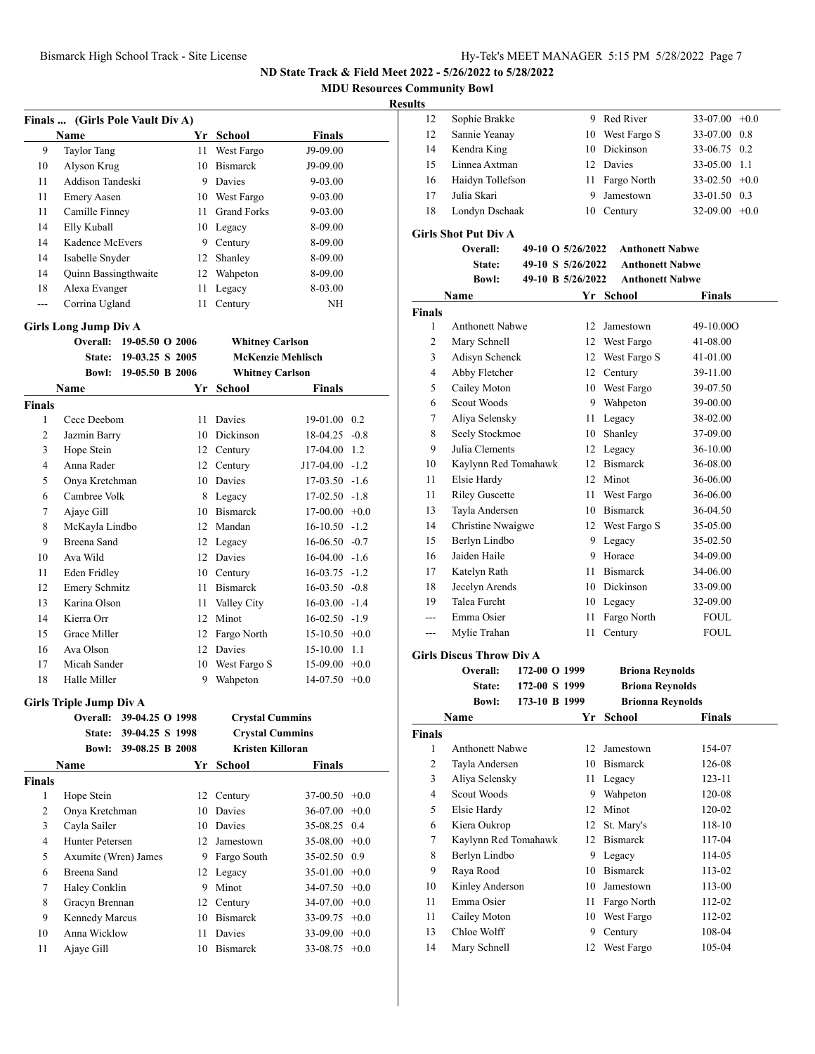**MDU Resources Community Bowl**

#### **Results**

|     | Finals  (Girls Pole Vault Div A) |     |                          |             |
|-----|----------------------------------|-----|--------------------------|-------------|
|     | Name                             | Yr. | School                   | Finals      |
| 9   | <b>Taylor Tang</b>               | 11  | West Fargo               | $J9-09.00$  |
| 10  | Alyson Krug                      | 10  | <b>Bismarck</b>          | J9-09.00    |
| 11  | Addison Tandeski                 | 9   | Davies                   | 9-03.00     |
| 11  | <b>Emery Aasen</b>               | 10  | West Fargo               | $9 - 03.00$ |
| 11  | Camille Finney                   | 11  | <b>Grand Forks</b>       | 9-03.00     |
| 14  | Elly Kuball                      |     | 10 Legacy                | 8-09.00     |
| 14  | Kadence McEvers                  | 9   | Century                  | 8-09.00     |
| 14  | Isabelle Snyder                  | 12  | Shanley                  | 8-09.00     |
| 14  | <b>Quinn Bassingthwaite</b>      | 12  | Wahpeton                 | 8-09.00     |
| 18  | Alexa Evanger                    | 11  | Legacy                   | 8-03.00     |
| --- | Corrina Ugland                   | 11  | Century                  | NH          |
|     | Girls Long Jump Div A            |     |                          |             |
|     | 19-05.50 O 2006<br>Overall:      |     | <b>Whitney Carlson</b>   |             |
|     | 19-03.25 S 2005<br><b>State:</b> |     | <b>McKenzie Mehlisch</b> |             |

|                |                      | 17-VJ.AJ D AVVJ | <b>MURAMMER MUHIMMED</b> |                      |  |
|----------------|----------------------|-----------------|--------------------------|----------------------|--|
| <b>Bowl:</b>   |                      | 19-05.50 B 2006 | <b>Whitney Carlson</b>   |                      |  |
|                | <b>Name</b>          | Yr              | School                   | <b>Finals</b>        |  |
| <b>Finals</b>  |                      |                 |                          |                      |  |
| 1              | Cece Deebom          | 11              | <b>Davies</b>            | $19-01.00 \quad 0.2$ |  |
| 2              | Jazmin Barry         | 10              | Dickinson                | $18-04.25 -0.8$      |  |
| 3              | Hope Stein           | 12              | Century                  | 17-04.00<br>1.2      |  |
| $\overline{4}$ | Anna Rader           | 12              | Century                  | $J17-04.00 -1.2$     |  |
| 5              | Onya Kretchman       | 10              | Davies                   | $17-03.50 -1.6$      |  |
| 6              | Cambree Volk         | 8               | Legacy                   | $17-02.50 -1.8$      |  |
| 7              | Ajaye Gill           | 10              | <b>Bismarck</b>          | $17-00.00 + 0.0$     |  |
| 8              | McKayla Lindbo       | 12              | Mandan                   | $16-10.50 -1.2$      |  |
| 9              | Breena Sand          | 12              | Legacy                   | $16-06.50 -0.7$      |  |
| 10             | Ava Wild             | 12              | Davies                   | $16-04.00 -1.6$      |  |
| 11             | Eden Fridley         | 10              | Century                  | $16-03.75 -1.2$      |  |
| 12             | <b>Emery Schmitz</b> | 11              | <b>Bismarck</b>          | $16-03.50 -0.8$      |  |
| 13             | Karina Olson         | 11              | Valley City              | $16-03.00 -1.4$      |  |
| 14             | Kierra Orr           | 12              | Minot                    | $16-02.50 -1.9$      |  |
| 15             | Grace Miller         | 12              | Fargo North              | $15-10.50 +0.0$      |  |
| 16             | Ava Olson            | 12              | <b>Davies</b>            | 15-10.00<br>1.1      |  |
| 17             | Micah Sander         | 10              | West Fargo S             | $15-09.00 +0.0$      |  |
| 18             | Halle Miller         | 9               | Wahpeton                 | $14-07.50 +0.0$      |  |

#### **Girls Triple Jump Div A**

|        | 39-04.25 O 1998<br>Overall: |     | <b>Crystal Cummins</b> |                 |  |
|--------|-----------------------------|-----|------------------------|-----------------|--|
|        | 39-04.25 S 1998<br>State:   |     | <b>Crystal Cummins</b> |                 |  |
|        | 39-08.25 B 2008<br>Bowl:    |     | Kristen Killoran       |                 |  |
|        | <b>Name</b>                 | Yr. | School                 | <b>Finals</b>   |  |
| Finals |                             |     |                        |                 |  |
| 1      | Hope Stein                  |     | 12 Century             | $37-00.50 +0.0$ |  |
| 2      | Onya Kretchman              | 10  | Davies                 | $36-07.00 +0.0$ |  |
| 3      | Cayla Sailer                | 10  | Davies                 | 35-08.25 0.4    |  |
| 4      | Hunter Petersen             |     | 12 Jamestown           | $35-08.00 +0.0$ |  |
| 5      | Axumite (Wren) James        | 9   | Fargo South            | 35-02.50 0.9    |  |
| 6      | Breena Sand                 |     | 12 Legacy              | $35-01.00 +0.0$ |  |
| 7      | Haley Conklin               | 9   | Minot                  | $34-07.50 +0.0$ |  |
| 8      | Gracyn Brennan              |     | 12 Century             | $34-07.00 +0.0$ |  |
| 9      | <b>Kennedy Marcus</b>       | 10  | <b>Bismarck</b>        | $33-09.75$ +0.0 |  |
| 10     | Anna Wicklow                | 11  | Davies                 | $33-09.00 +0.0$ |  |
| 11     | Ajaye Gill                  | 10  | <b>Bismarck</b>        | $33-08.75 +0.0$ |  |
|        |                             |     |                        |                 |  |

| 12 | Sophie Brakke    | 9. | Red River       | $33-07.00 +0.0$ |  |
|----|------------------|----|-----------------|-----------------|--|
| 12 | Sannie Yeanay    |    | 10 West Fargo S | 33-07.00 0.8    |  |
| 14 | Kendra King      |    | 10 Dickinson    | 33-06.75 0.2    |  |
| 15 | Linnea Axtman    |    | 12 Davies       | 33-05.00 1.1    |  |
| 16 | Haidyn Tollefson |    | 11 Fargo North  | $33-02.50 +0.0$ |  |
| 17 | Julia Skari      | 9  | Jamestown       | 33-01.50 0.3    |  |
| 18 | Londyn Dschaak   |    | 10 Century      | $32-09.00 +0.0$ |  |
|    |                  |    |                 |                 |  |

#### **Girls Shot Put Div A**

|               | 11 13 ЭНОС 1 ЦС 191 У Л |  |                   |                        |             |
|---------------|-------------------------|--|-------------------|------------------------|-------------|
|               | Overall:                |  | 49-10 O 5/26/2022 | <b>Anthonett Nabwe</b> |             |
|               | State:                  |  | 49-10 S 5/26/2022 | <b>Anthonett Nabwe</b> |             |
|               | <b>Bowl:</b>            |  | 49-10 B 5/26/2022 | <b>Anthonett Nabwe</b> |             |
|               | Name                    |  | Yr                | <b>School</b>          | Finals      |
| <b>Finals</b> |                         |  |                   |                        |             |
| 1             | <b>Anthonett Nabwe</b>  |  | 12                | Jamestown              | 49-10.00O   |
| 2             | Mary Schnell            |  | 12                | West Fargo             | 41-08.00    |
| 3             | Adisyn Schenck          |  | 12                | West Fargo S           | 41-01.00    |
| 4             | Abby Fletcher           |  | 12                | Century                | 39-11.00    |
| 5             | Cailey Moton            |  | 10                | West Fargo             | 39-07.50    |
| 6             | Scout Woods             |  | 9                 | Wahpeton               | 39-00.00    |
| 7             | Aliya Selensky          |  | 11                | Legacy                 | 38-02.00    |
| 8             | Seely Stockmoe          |  | 10                | Shanley                | 37-09.00    |
| 9             | Julia Clements          |  | 12                | Legacy                 | 36-10.00    |
| 10            | Kaylynn Red Tomahawk    |  | 12                | <b>Bismarck</b>        | 36-08.00    |
| 11            | Elsie Hardy             |  | 12                | Minot                  | 36-06.00    |
| 11            | <b>Riley Guscette</b>   |  | 11                | West Fargo             | 36-06.00    |
| 13            | Tayla Andersen          |  | 10                | <b>Bismarck</b>        | 36-04.50    |
| 14            | Christine Nwaigwe       |  | 12                | West Fargo S           | 35-05.00    |
| 15            | Berlyn Lindbo           |  | 9                 | Legacy                 | 35-02.50    |
| 16            | Jaiden Haile            |  | 9                 | Horace                 | 34-09.00    |
| 17            | Katelyn Rath            |  | 11                | <b>Bismarck</b>        | 34-06.00    |
| 18            | Jecelyn Arends          |  | 10                | Dickinson              | 33-09.00    |
| 19            | <b>Talea Furcht</b>     |  | 10                | Legacy                 | 32-09.00    |
| ---           | Emma Osier              |  | 11                | Fargo North            | <b>FOUL</b> |
|               | Mylie Trahan            |  | 11                | Century                | <b>FOUL</b> |

## **Girls Discus Throw Div A**

| Overall:     | 172-00 O 1999 | <b>Briona Reynolds</b>  |
|--------------|---------------|-------------------------|
| State:       | 172-00 S 1999 | <b>Briona Reynolds</b>  |
| <b>Bowl:</b> | 173-10 B 1999 | <b>Brionna Reynolds</b> |

|        | Name                   |    | Yr School       | Finals |  |
|--------|------------------------|----|-----------------|--------|--|
| Finals |                        |    |                 |        |  |
| 1      | <b>Anthonett Nabwe</b> | 12 | Jamestown       | 154-07 |  |
| 2      | Tayla Andersen         | 10 | <b>Bismarck</b> | 126-08 |  |
| 3      | Aliya Selensky         | 11 | Legacy          | 123-11 |  |
| 4      | Scout Woods            | 9  | Wahpeton        | 120-08 |  |
| 5      | Elsie Hardy            | 12 | Minot           | 120-02 |  |
| 6      | Kiera Oukrop           | 12 | St. Mary's      | 118-10 |  |
| 7      | Kaylynn Red Tomahawk   | 12 | <b>Bismarck</b> | 117-04 |  |
| 8      | Berlyn Lindbo          | 9  | Legacy          | 114-05 |  |
| 9      | Raya Rood              | 10 | <b>Bismarck</b> | 113-02 |  |
| 10     | Kinley Anderson        | 10 | Jamestown       | 113-00 |  |
| 11     | Emma Osier             | 11 | Fargo North     | 112-02 |  |
| 11     | Cailey Moton           |    | 10 West Fargo   | 112-02 |  |
| 13     | Chloe Wolff            | 9  | Century         | 108-04 |  |
| 14     | Mary Schnell           | 12 | West Fargo      | 105-04 |  |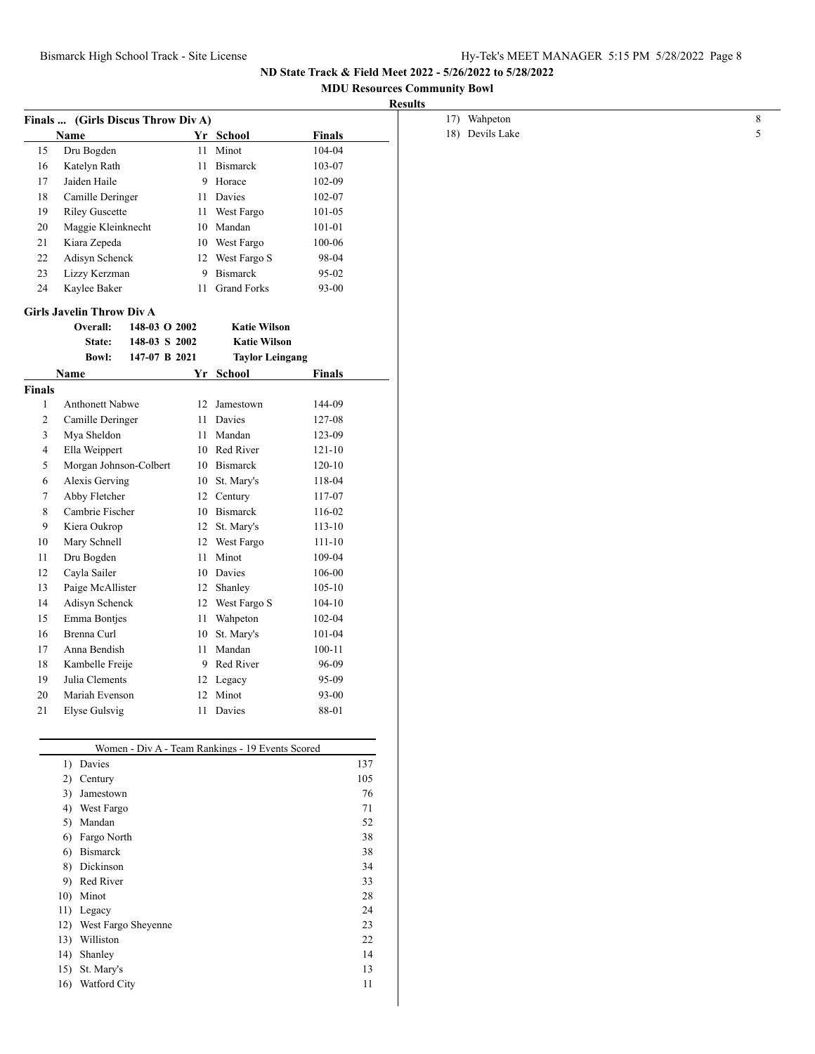12) West Fargo Sheyenne 23<br>13) Williston 22 13) Williston 22<br>14) Shanley 14

15) St. Mary's 13 16) Watford City 11

14) Shanley

**ND State Track & Field Meet 2022 - 5/26/2022 to 5/28/2022**

## **MDU Resources Community Bowl**

|        |                                    |               |    |                                                  |               | <b>Results</b>  |  |
|--------|------------------------------------|---------------|----|--------------------------------------------------|---------------|-----------------|--|
|        | Finals  (Girls Discus Throw Div A) |               |    |                                                  |               | 17) Wahpeton    |  |
|        | <b>Name</b>                        |               |    | Yr School                                        | <b>Finals</b> | 18) Devils Lake |  |
| 15     | Dru Bogden                         |               |    | 11 Minot                                         | 104-04        |                 |  |
| 16     | Katelyn Rath                       |               | 11 | <b>Bismarck</b>                                  | 103-07        |                 |  |
| 17     | Jaiden Haile                       |               | 9  | Horace                                           | 102-09        |                 |  |
| 18     | Camille Deringer                   |               | 11 | Davies                                           | 102-07        |                 |  |
| 19     | <b>Riley Guscette</b>              |               | 11 | West Fargo                                       | 101-05        |                 |  |
| 20     | Maggie Kleinknecht                 |               | 10 | Mandan                                           | 101-01        |                 |  |
| 21     | Kiara Zepeda                       |               |    | 10 West Fargo                                    | 100-06        |                 |  |
| 22     | Adisyn Schenck                     |               |    | 12 West Fargo S                                  | 98-04         |                 |  |
| 23     | Lizzy Kerzman                      |               | 9  | Bismarck                                         | 95-02         |                 |  |
| 24     | Kaylee Baker                       |               | 11 | <b>Grand Forks</b>                               | 93-00         |                 |  |
|        | <b>Girls Javelin Throw Div A</b>   |               |    |                                                  |               |                 |  |
|        | Overall:                           | 148-03 O 2002 |    | <b>Katie Wilson</b>                              |               |                 |  |
|        | State:                             | 148-03 S 2002 |    | <b>Katie Wilson</b>                              |               |                 |  |
|        | <b>Bowl:</b>                       | 147-07 B 2021 |    | <b>Taylor Leingang</b>                           |               |                 |  |
|        | Name                               |               |    | Yr School                                        | Finals        |                 |  |
| Finals |                                    |               |    |                                                  |               |                 |  |
| 1      | Anthonett Nabwe                    |               | 12 | Jamestown                                        | 144-09        |                 |  |
| 2      | Camille Deringer                   |               | 11 | Davies                                           | 127-08        |                 |  |
| 3      | Mya Sheldon                        |               | 11 | Mandan                                           | 123-09        |                 |  |
| 4      | Ella Weippert                      |               |    | 10 Red River                                     | 121-10        |                 |  |
| 5      | Morgan Johnson-Colbert             |               |    | 10 Bismarck                                      | $120 - 10$    |                 |  |
| 6      | Alexis Gerving                     |               |    | 10 St. Mary's                                    | 118-04        |                 |  |
| 7      | Abby Fletcher                      |               | 12 | Century                                          | 117-07        |                 |  |
| 8      | Cambrie Fischer                    |               | 10 | Bismarck                                         | 116-02        |                 |  |
| 9      | Kiera Oukrop                       |               |    | 12 St. Mary's                                    | $113 - 10$    |                 |  |
| 10     | Mary Schnell                       |               |    | 12 West Fargo                                    | $111 - 10$    |                 |  |
| 11     | Dru Bogden                         |               | 11 | Minot                                            | 109-04        |                 |  |
| 12     | Cayla Sailer                       |               | 10 | Davies                                           | 106-00        |                 |  |
| 13     | Paige McAllister                   |               | 12 | Shanley                                          | $105 - 10$    |                 |  |
| 14     | Adisyn Schenck                     |               | 12 | West Fargo S                                     | $104 - 10$    |                 |  |
| 15     | Emma Bontjes                       |               | 11 | Wahpeton                                         | 102-04        |                 |  |
| 16     | Brenna Curl                        |               |    | 10 St. Mary's                                    | 101-04        |                 |  |
| 17     | Anna Bendish                       |               |    | 11 Mandan                                        | $100 - 11$    |                 |  |
| 18     | Kambelle Freije                    |               | 9  | Red River                                        | 96-09         |                 |  |
| 19     | Julia Clements                     |               |    | 12 Legacy                                        | 95-09         |                 |  |
| 20     | Mariah Evenson                     |               |    | 12 Minot                                         | $93 - 00$     |                 |  |
| 21     | Elyse Gulsvig                      |               |    | 11 Davies                                        | 88-01         |                 |  |
|        |                                    |               |    |                                                  |               |                 |  |
|        |                                    |               |    | Women - Div A - Team Rankings - 19 Events Scored |               |                 |  |
|        | 1) Davies                          |               |    |                                                  |               | 137             |  |
|        | 2) Century                         |               |    |                                                  |               | $105\,$         |  |
|        | 3) Jamestown                       |               |    |                                                  |               | $76\,$          |  |
|        | 4) West Fargo                      |               |    |                                                  |               | 71              |  |
|        | 5) Mandan                          |               |    |                                                  |               | 52              |  |
|        | 6) Fargo North<br>6) Bismarck      |               |    |                                                  |               | 38              |  |
|        | 8) Dickinson                       |               |    |                                                  |               | 38              |  |
|        | 9) Red River                       |               |    |                                                  |               | 34              |  |
|        | 10) Minot                          |               |    |                                                  |               | 33<br>28        |  |
|        | 11) Legacy                         |               |    |                                                  |               | 24              |  |
|        |                                    |               |    |                                                  |               |                 |  |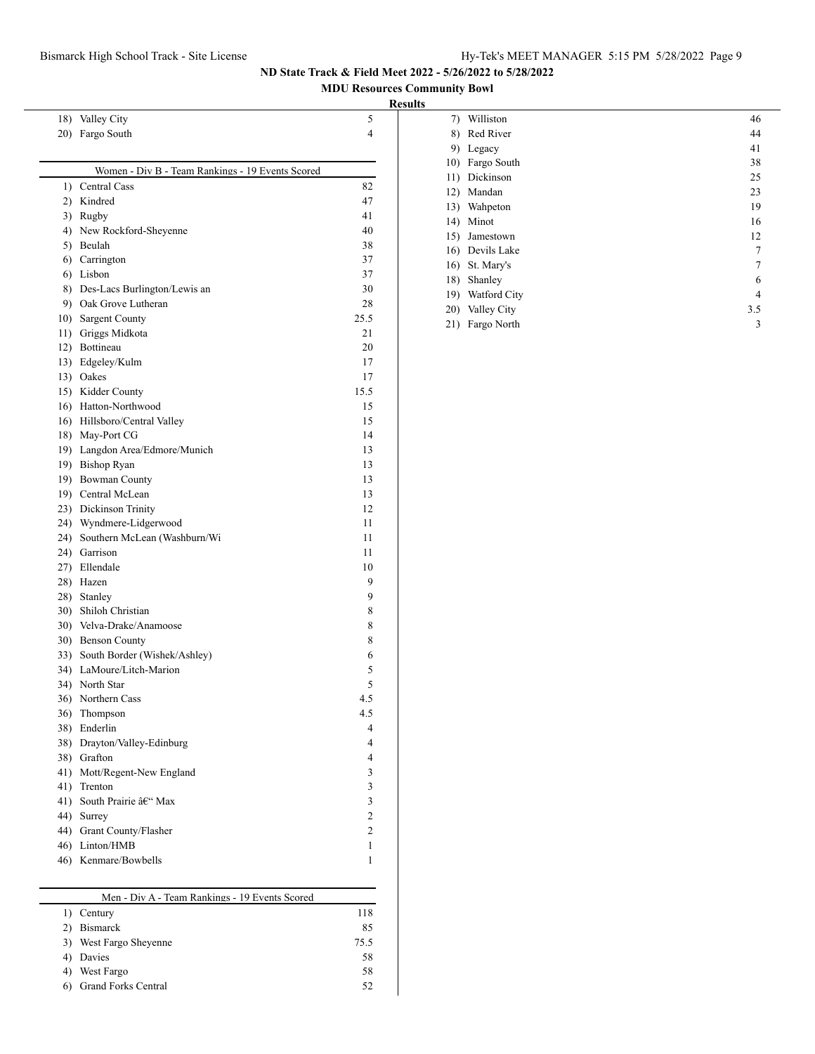**MDU Resources Community Bowl**

#### **Results**

| 20) Fargo South                                  | 4                        |
|--------------------------------------------------|--------------------------|
| Women - Div B - Team Rankings - 19 Events Scored |                          |
| 1) Central Cass                                  | 82                       |
| 2) Kindred                                       | 47                       |
| 3) Rugby                                         | 41                       |
| 4) New Rockford-Sheyenne                         | 40                       |
| 5) Beulah                                        | 38                       |
| 6) Carrington                                    | 37                       |
| 6) Lisbon                                        | 37                       |
| 8) Des-Lacs Burlington/Lewis an                  | 30                       |
| 9) Oak Grove Lutheran                            | 28                       |
| 10) Sargent County                               | 25.5                     |
| 11) Griggs Midkota                               | 21                       |
| 12) Bottineau                                    | 20                       |
| 13) Edgeley/Kulm                                 | 17                       |
| 13) Oakes                                        | 17                       |
| 15) Kidder County                                | 15.5                     |
| 16) Hatton-Northwood                             | 15                       |
| 16) Hillsboro/Central Valley                     | 15                       |
| 18) May-Port CG                                  | 14                       |
| 19) Langdon Area/Edmore/Munich                   | 13                       |
| 19) Bishop Ryan                                  | 13                       |
| 19) Bowman County                                | 13                       |
| 19) Central McLean                               | 13                       |
| 23) Dickinson Trinity                            | 12                       |
| 24) Wyndmere-Lidgerwood                          | 11                       |
| 24) Southern McLean (Washburn/Wi                 | 11                       |
| 24) Garrison                                     | 11                       |
| 27) Ellendale                                    | 10                       |
| 28) Hazen                                        | 9                        |
| 28) Stanley                                      | 9                        |
| 30) Shiloh Christian                             | 8                        |
| 30) Velva-Drake/Anamoose                         | 8                        |
| 30) Benson County                                | 8                        |
| 33) South Border (Wishek/Ashley)                 | 6                        |
| 34) LaMoure/Litch-Marion                         | 5                        |
| 34) North Star                                   | 5                        |
| 36) Northern Cass                                | 4.5                      |
| 36) Thompson                                     | 4.5                      |
| 38) Enderlin                                     | $\overline{\mathcal{L}}$ |
| 38) Drayton/Valley-Edinburg                      | 4                        |
| 38) Grafton                                      | 4                        |
| 41) Mott/Regent-New England                      | 3                        |
| 41) Trenton                                      | 3                        |
| 41) South Prairie – Max                          | 3                        |
| 44) Surrey                                       | $\overline{2}$           |
| 44) Grant County/Flasher                         | 2                        |
| 46) Linton/HMB                                   | 1                        |
|                                                  |                          |

18) Valley City 5

| Men - Div A - Team Rankings - 19 Events Scored |      |  |  |  |
|------------------------------------------------|------|--|--|--|
| Century                                        | 118  |  |  |  |
| <b>Bismarck</b>                                | 85   |  |  |  |
| West Fargo Sheyenne                            | 75.5 |  |  |  |
| Davies                                         | 58   |  |  |  |
| West Fargo                                     | 58   |  |  |  |
| <b>Grand Forks Central</b>                     | 52   |  |  |  |

| 7)  | Williston       | 46  |
|-----|-----------------|-----|
| 8)  | Red River       | 44  |
| 9)  | Legacy          | 41  |
| 10) | Fargo South     | 38  |
| 11) | Dickinson       | 25  |
| 12) | Mandan          | 23  |
| 13) | Wahpeton        | 19  |
| 14) | Minot           | 16  |
| 15) | Jamestown       | 12  |
|     | 16) Devils Lake | 7   |
| 16) | St. Mary's      | 7   |
| 18) | Shanley         | 6   |
| 19) | Watford City    | 4   |
|     | 20) Valley City | 3.5 |
| 21) | Fargo North     | 3   |
|     |                 |     |